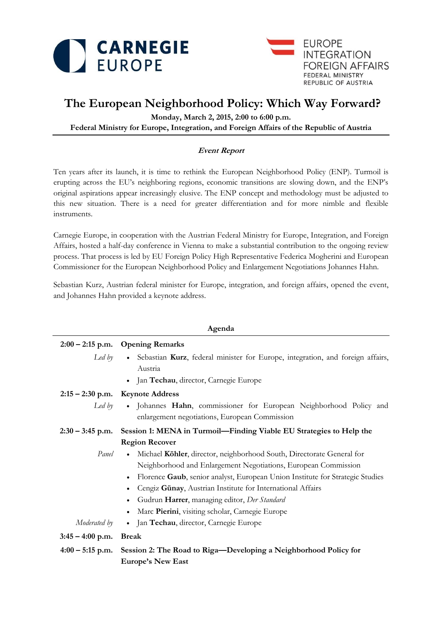



# **The European Neighborhood Policy: Which Way Forward?**

**Monday, March 2, 2015, 2:00 to 6:00 p.m. Federal Ministry for Europe, Integration, and Foreign Affairs of the Republic of Austria**

## **Event Report**

Ten years after its launch, it is time to rethink the European Neighborhood Policy (ENP). Turmoil is erupting across the EU's neighboring regions, economic transitions are slowing down, and the ENP's original aspirations appear increasingly elusive. The ENP concept and methodology must be adjusted to this new situation. There is a need for greater differentiation and for more nimble and flexible instruments.

Carnegie Europe, in cooperation with the Austrian Federal Ministry for Europe, Integration, and Foreign Affairs, hosted a half-day conference in Vienna to make a substantial contribution to the ongoing review process. That process is led by EU Foreign Policy High Representative Federica Mogherini and European Commissioner for the European Neighborhood Policy and Enlargement Negotiations Johannes Hahn.

Sebastian Kurz, Austrian federal minister for Europe, integration, and foreign affairs, opened the event, and Johannes Hahn provided a keynote address.

| Agenda             |                                                                                                                                                              |
|--------------------|--------------------------------------------------------------------------------------------------------------------------------------------------------------|
|                    | $2:00 - 2:15$ p.m. Opening Remarks                                                                                                                           |
| Led by             | Sebastian Kurz, federal minister for Europe, integration, and foreign affairs,<br>$\bullet$<br>Austria<br>Jan Techau, director, Carnegie Europe<br>$\bullet$ |
|                    | $2:15 - 2:30$ p.m. Keynote Address                                                                                                                           |
| Led by             | · Johannes Hahn, commissioner for European Neighborhood Policy and<br>enlargement negotiations, European Commission                                          |
| $2:30 - 3:45$ p.m. | Session 1: MENA in Turmoil-Finding Viable EU Strategies to Help the                                                                                          |
|                    | <b>Region Recover</b>                                                                                                                                        |
| Panel              | Michael Köhler, director, neighborhood South, Directorate General for<br>$\bullet$                                                                           |
|                    | Neighborhood and Enlargement Negotiations, European Commission                                                                                               |
|                    | Florence Gaub, senior analyst, European Union Institute for Strategic Studies<br>$\bullet$                                                                   |
|                    | Cengiz Günay, Austrian Institute for International Affairs<br>$\bullet$                                                                                      |
|                    | Gudrun Harrer, managing editor, Der Standard<br>$\bullet$                                                                                                    |
|                    | Marc Pierini, visiting scholar, Carnegie Europe<br>$\bullet$                                                                                                 |
| Moderated by       | Jan Techau, director, Carnegie Europe<br>$\bullet$                                                                                                           |
| $3:45 - 4:00$ p.m. | <b>Break</b>                                                                                                                                                 |
| $4:00-5:15$ p.m.   | Session 2: The Road to Riga-Developing a Neighborhood Policy for                                                                                             |
|                    | <b>Europe's New East</b>                                                                                                                                     |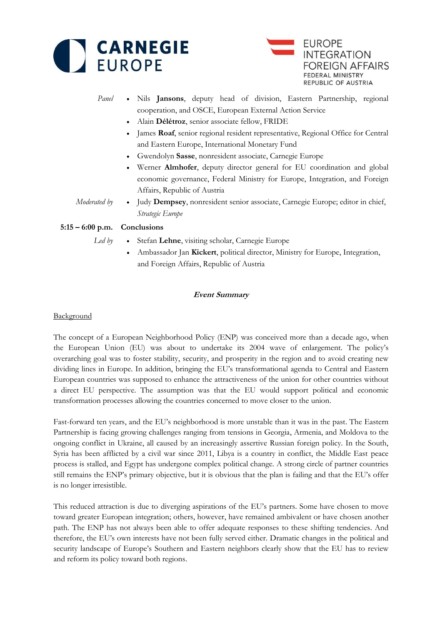



- *Panel* Nils **Jansons**, deputy head of division, Eastern Partnership, regional cooperation, and OSCE, European External Action Service
	- Alain **Délétroz**, senior associate fellow, FRIDE
	- James **Roaf**, senior regional resident representative, Regional Office for Central and Eastern Europe, International Monetary Fund
	- Gwendolyn **Sasse**, nonresident associate, Carnegie Europe
	- Werner **Almhofer**, deputy director general for EU coordination and global economic governance, Federal Ministry for Europe, Integration, and Foreign Affairs, Republic of Austria
- *Moderated by* . Judy **Dempsey**, nonresident senior associate, Carnegie Europe; editor in chief, *Strategic Europe*

## **5:15 – 6:00 p.m. Conclusions**

- *Led by* Stefan **Lehne**, visiting scholar, Carnegie Europe
	- Ambassador Jan **Kickert**, political director, Ministry for Europe, Integration, and Foreign Affairs, Republic of Austria

## **Event Summary**

#### **Background**

The concept of a European Neighborhood Policy (ENP) was conceived more than a decade ago, when the European Union (EU) was about to undertake its 2004 wave of enlargement. The policy's overarching goal was to foster stability, security, and prosperity in the region and to avoid creating new dividing lines in Europe. In addition, bringing the EU's transformational agenda to Central and Eastern European countries was supposed to enhance the attractiveness of the union for other countries without a direct EU perspective. The assumption was that the EU would support political and economic transformation processes allowing the countries concerned to move closer to the union.

Fast-forward ten years, and the EU's neighborhood is more unstable than it was in the past. The Eastern Partnership is facing growing challenges ranging from tensions in Georgia, Armenia, and Moldova to the ongoing conflict in Ukraine, all caused by an increasingly assertive Russian foreign policy. In the South, Syria has been afflicted by a civil war since 2011, Libya is a country in conflict, the Middle East peace process is stalled, and Egypt has undergone complex political change. A strong circle of partner countries still remains the ENP's primary objective, but it is obvious that the plan is failing and that the EU's offer is no longer irresistible.

This reduced attraction is due to diverging aspirations of the EU's partners. Some have chosen to move toward greater European integration; others, however, have remained ambivalent or have chosen another path. The ENP has not always been able to offer adequate responses to these shifting tendencies. And therefore, the EU's own interests have not been fully served either. Dramatic changes in the political and security landscape of Europe's Southern and Eastern neighbors clearly show that the EU has to review and reform its policy toward both regions.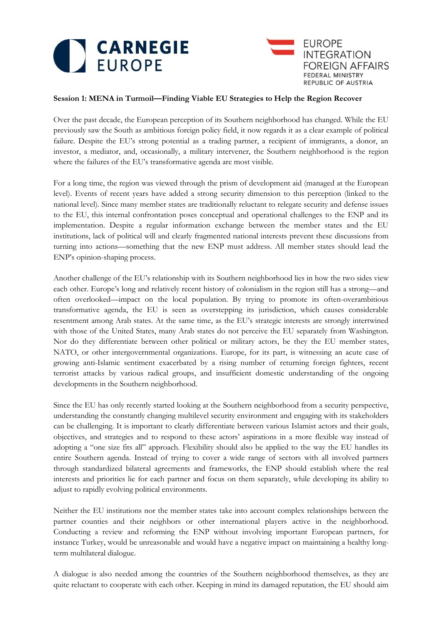



## **Session 1: MENA in Turmoil—Finding Viable EU Strategies to Help the Region Recover**

Over the past decade, the European perception of its Southern neighborhood has changed. While the EU previously saw the South as ambitious foreign policy field, it now regards it as a clear example of political failure. Despite the EU's strong potential as a trading partner, a recipient of immigrants, a donor, an investor, a mediator, and, occasionally, a military intervener, the Southern neighborhood is the region where the failures of the EU's transformative agenda are most visible.

For a long time, the region was viewed through the prism of development aid (managed at the European level). Events of recent years have added a strong security dimension to this perception (linked to the national level). Since many member states are traditionally reluctant to relegate security and defense issues to the EU, this internal confrontation poses conceptual and operational challenges to the ENP and its implementation. Despite a regular information exchange between the member states and the EU institutions, lack of political will and clearly fragmented national interests prevent these discussions from turning into actions—something that the new ENP must address. All member states should lead the ENP's opinion-shaping process.

Another challenge of the EU's relationship with its Southern neighborhood lies in how the two sides view each other. Europe's long and relatively recent history of colonialism in the region still has a strong—and often overlooked—impact on the local population. By trying to promote its often-overambitious transformative agenda, the EU is seen as overstepping its jurisdiction, which causes considerable resentment among Arab states. At the same time, as the EU's strategic interests are strongly intertwined with those of the United States, many Arab states do not perceive the EU separately from Washington. Nor do they differentiate between other political or military actors, be they the EU member states, NATO, or other intergovernmental organizations. Europe, for its part, is witnessing an acute case of growing anti-Islamic sentiment exacerbated by a rising number of returning foreign fighters, recent terrorist attacks by various radical groups, and insufficient domestic understanding of the ongoing developments in the Southern neighborhood.

Since the EU has only recently started looking at the Southern neighborhood from a security perspective, understanding the constantly changing multilevel security environment and engaging with its stakeholders can be challenging. It is important to clearly differentiate between various Islamist actors and their goals, objectives, and strategies and to respond to these actors' aspirations in a more flexible way instead of adopting a "one size fits all" approach. Flexibility should also be applied to the way the EU handles its entire Southern agenda. Instead of trying to cover a wide range of sectors with all involved partners through standardized bilateral agreements and frameworks, the ENP should establish where the real interests and priorities lie for each partner and focus on them separately, while developing its ability to adjust to rapidly evolving political environments.

Neither the EU institutions nor the member states take into account complex relationships between the partner counties and their neighbors or other international players active in the neighborhood. Conducting a review and reforming the ENP without involving important European partners, for instance Turkey, would be unreasonable and would have a negative impact on maintaining a healthy longterm multilateral dialogue.

A dialogue is also needed among the countries of the Southern neighborhood themselves, as they are quite reluctant to cooperate with each other. Keeping in mind its damaged reputation, the EU should aim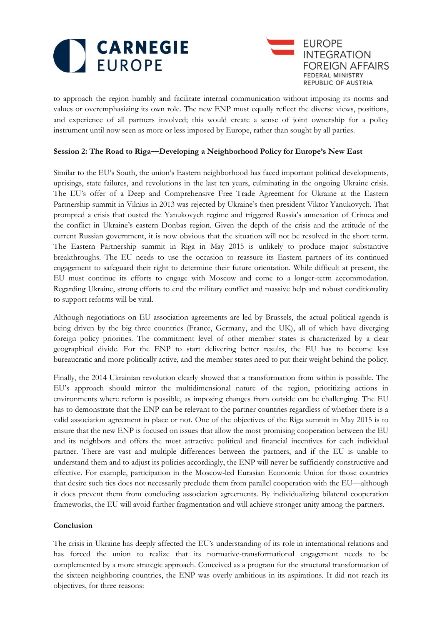



to approach the region humbly and facilitate internal communication without imposing its norms and values or overemphasizing its own role. The new ENP must equally reflect the diverse views, positions, and experience of all partners involved; this would create a sense of joint ownership for a policy instrument until now seen as more or less imposed by Europe, rather than sought by all parties.

### **Session 2: The Road to Riga—Developing a Neighborhood Policy for Europe's New East**

Similar to the EU's South, the union's Eastern neighborhood has faced important political developments, uprisings, state failures, and revolutions in the last ten years, culminating in the ongoing Ukraine crisis. The EU's offer of a Deep and Comprehensive Free Trade Agreement for Ukraine at the Eastern Partnership summit in Vilnius in 2013 was rejected by Ukraine's then president Viktor Yanukovych. That prompted a crisis that ousted the Yanukovych regime and triggered Russia's annexation of Crimea and the conflict in Ukraine's eastern Donbas region. Given the depth of the crisis and the attitude of the current Russian government, it is now obvious that the situation will not be resolved in the short term. The Eastern Partnership summit in Riga in May 2015 is unlikely to produce major substantive breakthroughs. The EU needs to use the occasion to reassure its Eastern partners of its continued engagement to safeguard their right to determine their future orientation. While difficult at present, the EU must continue its efforts to engage with Moscow and come to a longer-term accommodation. Regarding Ukraine, strong efforts to end the military conflict and massive help and robust conditionality to support reforms will be vital.

Although negotiations on EU association agreements are led by Brussels, the actual political agenda is being driven by the big three countries (France, Germany, and the UK), all of which have diverging foreign policy priorities. The commitment level of other member states is characterized by a clear geographical divide. For the ENP to start delivering better results, the EU has to become less bureaucratic and more politically active, and the member states need to put their weight behind the policy.

Finally, the 2014 Ukrainian revolution clearly showed that a transformation from within is possible. The EU's approach should mirror the multidimensional nature of the region, prioritizing actions in environments where reform is possible, as imposing changes from outside can be challenging. The EU has to demonstrate that the ENP can be relevant to the partner countries regardless of whether there is a valid association agreement in place or not. One of the objectives of the Riga summit in May 2015 is to ensure that the new ENP is focused on issues that allow the most promising cooperation between the EU and its neighbors and offers the most attractive political and financial incentives for each individual partner. There are vast and multiple differences between the partners, and if the EU is unable to understand them and to adjust its policies accordingly, the ENP will never be sufficiently constructive and effective. For example, participation in the Moscow-led Eurasian Economic Union for those countries that desire such ties does not necessarily preclude them from parallel cooperation with the EU—although it does prevent them from concluding association agreements. By individualizing bilateral cooperation frameworks, the EU will avoid further fragmentation and will achieve stronger unity among the partners.

#### **Conclusion**

The crisis in Ukraine has deeply affected the EU's understanding of its role in international relations and has forced the union to realize that its normative-transformational engagement needs to be complemented by a more strategic approach. Conceived as a program for the structural transformation of the sixteen neighboring countries, the ENP was overly ambitious in its aspirations. It did not reach its objectives, for three reasons: